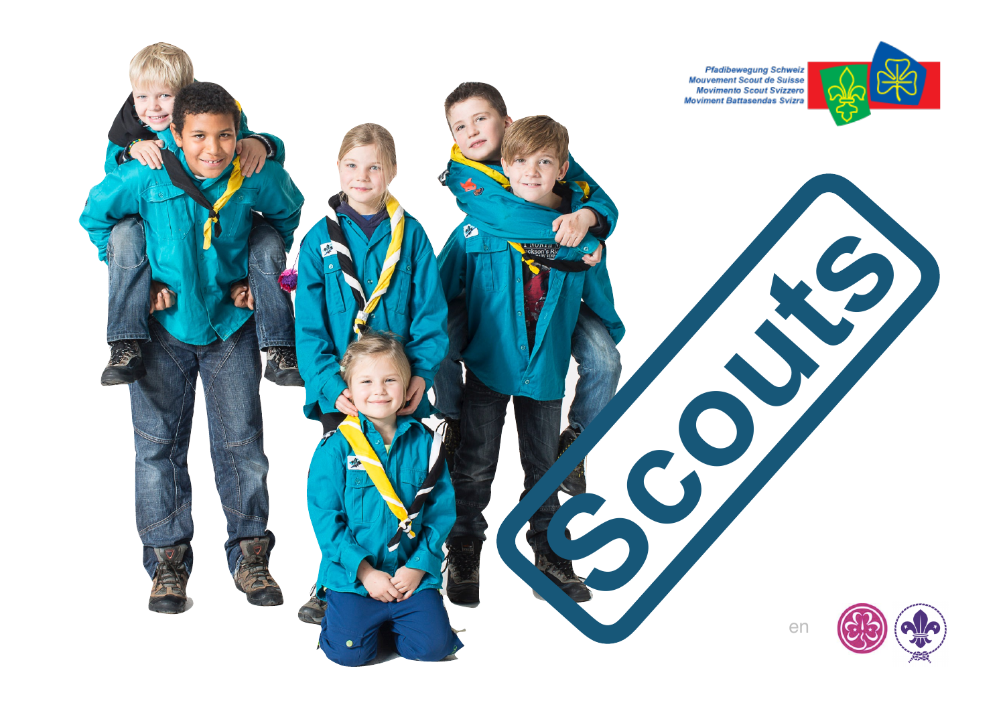